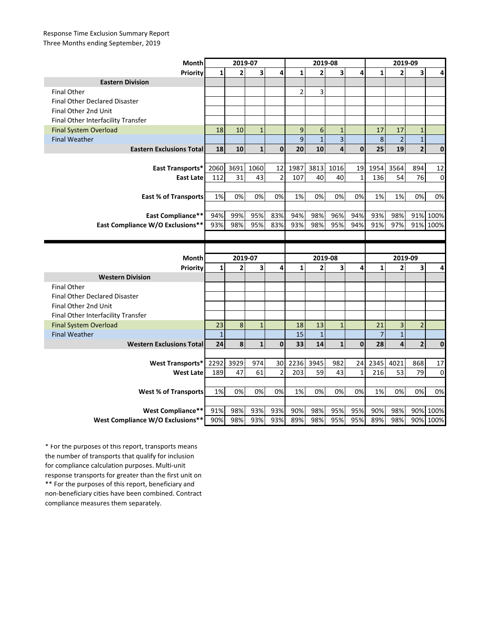## Response Time Exclusion Summary Report Three Months ending September, 2019

| Month                                | 2019-07      |                |                |                | 2019-08        |                |                         |              | 2019-09        |                         |                         |                      |
|--------------------------------------|--------------|----------------|----------------|----------------|----------------|----------------|-------------------------|--------------|----------------|-------------------------|-------------------------|----------------------|
| Priority                             | $\mathbf{1}$ | $\overline{2}$ | 3              | 4              | $\mathbf{1}$   | $\overline{2}$ | 3                       | 4            | $\mathbf{1}$   | $\overline{2}$          | 3                       | 4                    |
| <b>Eastern Division</b>              |              |                |                |                |                |                |                         |              |                |                         |                         |                      |
| <b>Final Other</b>                   |              |                |                |                | $\overline{2}$ | 3              |                         |              |                |                         |                         |                      |
| <b>Final Other Declared Disaster</b> |              |                |                |                |                |                |                         |              |                |                         |                         |                      |
| Final Other 2nd Unit                 |              |                |                |                |                |                |                         |              |                |                         |                         |                      |
| Final Other Interfacility Transfer   |              |                |                |                |                |                |                         |              |                |                         |                         |                      |
| <b>Final System Overload</b>         | 18           | 10             | $\mathbf{1}$   |                | 9              | 6              | $\mathbf{1}$            |              | 17             | 17                      | $\mathbf{1}$            |                      |
| <b>Final Weather</b>                 |              |                |                |                | 9              | $\overline{1}$ | $\overline{\mathbf{3}}$ |              | $\bf 8$        | $\overline{2}$          | $\mathbf{1}$            |                      |
| <b>Eastern Exclusions Total</b>      | 18           | 10             | $\mathbf{1}$   | $\mathbf{0}$   | 20             | 10             | 4                       | $\mathbf{0}$ | 25             | 19                      | $\overline{\mathbf{c}}$ | $\mathbf 0$          |
|                                      |              |                |                |                |                |                |                         |              |                |                         |                         |                      |
| East Transports*                     | 2060         | 3691           | 1060           | 12             | 1987           | 3813           | 1016                    | 19           | 1954           | 3564                    | 894                     | 12                   |
| <b>East Late</b>                     | 112          | 31             | 43             | $\overline{2}$ | 107            | 40             | 40                      | $\mathbf{1}$ | 136            | 54                      | 76                      | 0                    |
|                                      |              |                |                |                |                |                |                         |              |                |                         |                         |                      |
| <b>East % of Transports</b>          | 1%           | 0%             | 0%             | 0%             | 1%             | 0%             | 0%                      | 0%           | 1%             | 1%                      | 0%                      | 0%                   |
|                                      |              |                |                |                |                |                |                         |              |                |                         |                         |                      |
| East Compliance**                    | 94%          | 99%            | 95%            | 83%            | 94%            | 98%            | 96%                     | 94%          | 93%            | 98%                     |                         | 91% 100%             |
| East Compliance W/O Exclusions**     | 93%          | 98%            | 95%            | 83%            | 93%            | 98%            | 95%                     | 94%          | 91%            | 97%                     | 91%                     | 100%                 |
|                                      |              |                |                |                |                |                |                         |              |                |                         |                         |                      |
|                                      |              |                |                |                |                |                |                         |              |                |                         |                         |                      |
|                                      |              |                |                |                |                |                |                         |              |                |                         |                         |                      |
| Month                                |              | 2019-07        |                |                |                | 2019-08        |                         |              |                | 2019-09                 |                         |                      |
| Priority                             | $\mathbf{1}$ | $\overline{2}$ | 3              | 4              | $\mathbf{1}$   | $\overline{2}$ | 3                       | 4            | $\mathbf{1}$   | $\overline{2}$          | 3                       | 4                    |
| <b>Western Division</b>              |              |                |                |                |                |                |                         |              |                |                         |                         |                      |
| <b>Final Other</b>                   |              |                |                |                |                |                |                         |              |                |                         |                         |                      |
| <b>Final Other Declared Disaster</b> |              |                |                |                |                |                |                         |              |                |                         |                         |                      |
| Final Other 2nd Unit                 |              |                |                |                |                |                |                         |              |                |                         |                         |                      |
| Final Other Interfacility Transfer   |              |                |                |                |                |                |                         |              |                |                         |                         |                      |
| <b>Final System Overload</b>         | 23           | 8              | $\overline{1}$ |                | 18             | 13             | $\mathbf{1}$            |              | 21             | 3                       | $\overline{2}$          |                      |
| <b>Final Weather</b>                 | $\mathbf{1}$ |                |                |                | 15             | $\mathbf{1}$   |                         |              | $\overline{7}$ | $\mathbf{1}$            |                         |                      |
| <b>Western Exclusions Total</b>      | 24           | 8              | $\mathbf{1}$   | $\mathbf{0}$   | 33             | 14             | $\mathbf{1}$            | $\mathbf 0$  | 28             | $\overline{\mathbf{4}}$ | $\overline{\mathbf{c}}$ | $\mathbf{0}$         |
|                                      |              |                |                |                |                |                |                         |              |                |                         |                         |                      |
| <b>West Transports*</b>              | 2292         | 3929           | 974            | 30             | 2236           | 3945           | 982                     | 24           | 2345           | 4021                    | 868                     | 17                   |
| <b>West Late</b>                     | 189          | 47             | 61             | $\overline{2}$ | 203            | 59             | 43                      | $\mathbf{1}$ | 216            | 53                      | 79                      | $\Omega$             |
|                                      |              |                |                |                |                |                |                         |              |                |                         |                         |                      |
| <b>West % of Transports</b>          | 1%           | 0%             | 0%             | 0%             | 1%             | 0%             | 0%                      | 0%           | 1%             | 0%                      | 0%                      | 0%                   |
|                                      |              |                |                |                |                |                |                         |              |                |                         |                         |                      |
| West Compliance**                    | 91%          | 98%<br>98%     | 93%<br>93%     | 93%            | 90%<br>89%     | 98%<br>98%     | 95%<br>95%              | 95%          | 90%<br>89%     | 98%<br>98%              |                         | 90% 100%<br>90% 100% |

\*\* For the purposes of this report, beneficiary and non-beneficiary cities have been combined. Contract compliance measures them separately. \* For the purposes of this report, transports means the number of transports that qualify for inclusion for compliance calculation purposes. Multi-unit response transports for greater than the first unit on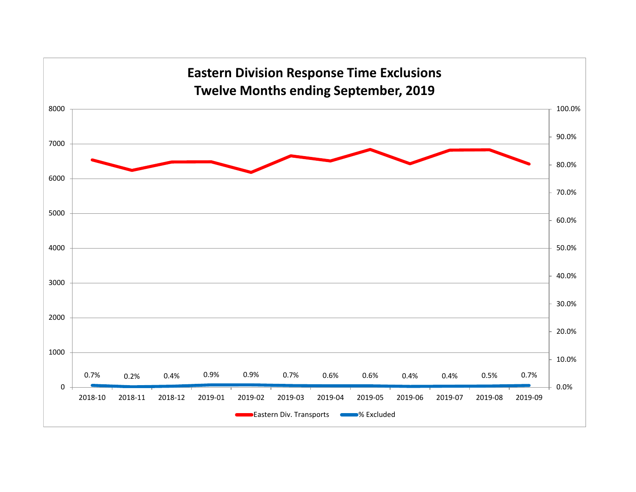